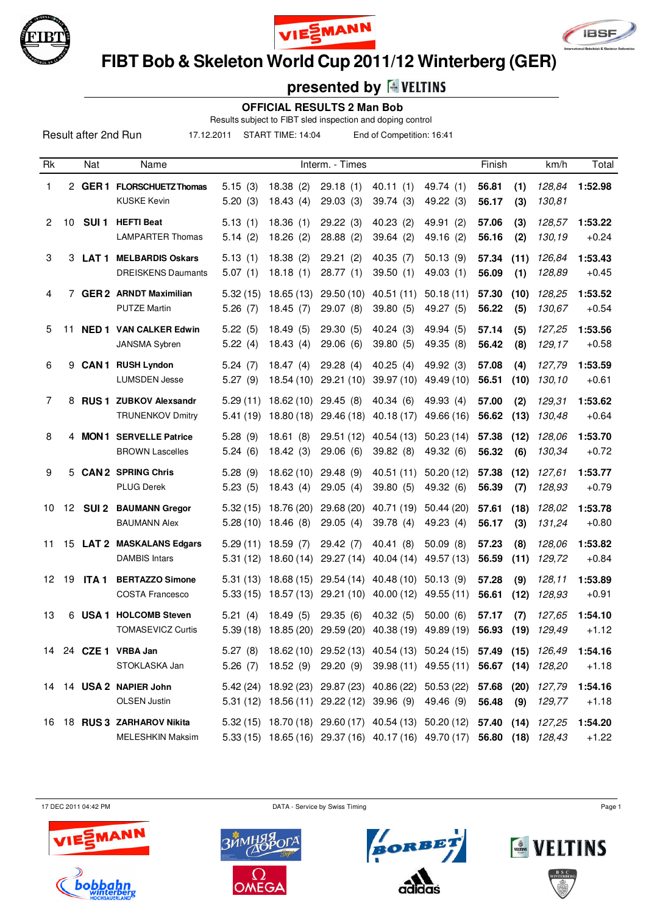





 **FIBT Bob & Skeleton World Cup 2011/12 Winterberg (GER)**

# **presented by**

 **OFFICIAL RESULTS 2 Man Bob**

Results subject to FIBT sled inspection and doping control

17.12.2011 START TIME: 14:04 End of Competition: 16:41

| Rk             |    | Nat              | Name                                                   |                      |                                                | Interm. - Times                                       |                                               |                                                                                                                   | Finish                                        |             | km/h             | Total              |
|----------------|----|------------------|--------------------------------------------------------|----------------------|------------------------------------------------|-------------------------------------------------------|-----------------------------------------------|-------------------------------------------------------------------------------------------------------------------|-----------------------------------------------|-------------|------------------|--------------------|
| 1              |    |                  | 2 GER 1 FLORSCHUETZ Thomas<br><b>KUSKE Kevin</b>       | 5.15(3)<br>5.20(3)   | 18.38(2)<br>18.43(4)                           | 29.18(1)<br>29.03(3)                                  | 40.11(1)<br>39.74(3)                          | 49.74 (1)<br>49.22 (3)                                                                                            | 56.81<br>56.17                                | (1)<br>(3)  | 128,84<br>130,81 | 1:52.98            |
| $\mathbf{2}$   | 10 | SUI <sub>1</sub> | <b>HEFTI Beat</b><br><b>LAMPARTER Thomas</b>           | 5.13(1)<br>5.14(2)   | 18.36(1)<br>18.26(2)                           | 29.22(3)<br>28.88(2)                                  | 40.23(2)<br>39.64(2)                          | 49.91 (2)<br>49.16 (2)                                                                                            | 57.06<br>56.16                                | (3)<br>(2)  | 128,57<br>130,19 | 1:53.22<br>$+0.24$ |
| 3              |    |                  | 3 LAT 1 MELBARDIS Oskars<br><b>DREISKENS Daumants</b>  | 5.13(1)<br>5.07(1)   | 18.38(2)<br>18.18(1)                           | 29.21(2)<br>28.77(1)                                  | 40.35(7)<br>39.50(1)                          | 50.13(9)<br>49.03 (1)                                                                                             | 57.34<br>56.09                                | (11)<br>(1) | 126,84<br>128,89 | 1:53.43<br>$+0.45$ |
| 4              |    |                  | 7 GER 2 ARNDT Maximilian<br><b>PUTZE Martin</b>        | 5.32(15)<br>5.26(7)  | 18.65 (13)<br>18.45(7)                         | 29.50 (10)<br>29.07(8)                                | 40.51(11)<br>39.80 (5)                        | 50.18(11)<br>49.27 (5)                                                                                            | 57.30<br>56.22                                | (10)<br>(5) | 128,25<br>130,67 | 1:53.52<br>$+0.54$ |
| 5              | 11 |                  | <b>NED 1 VAN CALKER Edwin</b><br>JANSMA Sybren         | 5.22(5)<br>5.22(4)   | 18.49(5)<br>18.43(4)                           | 29.30(5)<br>29.06(6)                                  | 40.24(3)<br>39.80(5)                          | 49.94 (5)<br>49.35 (8)                                                                                            | 57.14<br>56.42                                | (5)<br>(8)  | 127,25<br>129,17 | 1:53.56<br>$+0.58$ |
| 6              | 9  |                  | <b>CAN1 RUSH Lyndon</b><br><b>LUMSDEN Jesse</b>        | 5.24(7)<br>5.27(9)   | 18.47(4)<br>18.54 (10)                         | 29.28(4)<br>29.21 (10)                                | 40.25(4)<br>39.97 (10)                        | 49.92 (3)<br>49.49 (10)                                                                                           | 57.08<br>56.51                                | (4)<br>(10) | 127,79<br>130,10 | 1:53.59<br>$+0.61$ |
| $\overline{7}$ |    |                  | 8 RUS 1 ZUBKOV Alexsandr<br><b>TRUNENKOV Dmitry</b>    | 5.29(11)<br>5.41(19) | 18.62(10)<br>18.80 (18)                        | 29.45(8)<br>29.46 (18)                                | 40.34(6)<br>40.18(17)                         | 49.93 (4)<br>49.66 (16)                                                                                           | 57.00<br>56.62                                | (2)<br>(13) | 129,31<br>130,48 | 1:53.62<br>$+0.64$ |
| 8              |    |                  | 4 MON 1 SERVELLE Patrice<br><b>BROWN Lascelles</b>     | 5.28(9)<br>5.24(6)   | 18.61(8)<br>18.42(3)                           | 29.51 (12)<br>29.06(6)                                | 40.54 (13)<br>39.82 (8)                       | 50.23(14)<br>49.32 (6)                                                                                            | 57.38<br>56.32                                | (12)<br>(6) | 128,06<br>130,34 | 1:53.70<br>$+0.72$ |
| 9              |    |                  | 5 CAN 2 SPRING Chris<br><b>PLUG Derek</b>              | 5.28(9)<br>5.23(5)   | 18.62(10)<br>18.43(4)                          | 29.48(9)<br>29.05(4)                                  | 40.51(11)<br>39.80(5)                         | 50.20(12)<br>49.32 (6)                                                                                            | 57.38<br>56.39                                | (12)<br>(7) | 127,61<br>128,93 | 1:53.77<br>$+0.79$ |
| 10             | 12 |                  | <b>SUI 2 BAUMANN Gregor</b><br><b>BAUMANN Alex</b>     | 5.32(15)<br>5.28(10) | 18.76 (20)<br>18.46 (8)                        | 29.68 (20)<br>29.05(4)                                | 40.71 (19)<br>39.78 (4)                       | 50.44(20)<br>49.23 (4)                                                                                            | 57.61<br>56.17                                | (18)<br>(3) | 128,02<br>131,24 | 1:53.78<br>$+0.80$ |
| 11             |    |                  | 15 LAT 2 MASKALANS Edgars<br><b>DAMBIS Intars</b>      | 5.31(12)             | $5.29(11)$ 18.59 (7)<br>18.60 (14)             | 29.42 (7)<br>29.27 (14)                               | 40.41(8)<br>40.04 (14)                        | 50.09(8)<br>49.57 (13)                                                                                            | 57.23<br>56.59                                | (8)<br>(11) | 128,06<br>129,72 | 1:53.82<br>$+0.84$ |
| 12             | 19 | ITA 1            | <b>BERTAZZO Simone</b><br><b>COSTA Francesco</b>       |                      | $5.31(13)$ 18.68 (15)<br>$5.33(15)$ 18.57 (13) | 29.54 (14)<br>29.21 (10) 40.00 (12)                   | 40.48 (10)                                    | 50.13(9)<br>49.55 (11)                                                                                            | 57.28<br>56.61                                | (9)<br>(12) | 128,11<br>128,93 | 1:53.89<br>$+0.91$ |
| 13             |    |                  | 6 USA 1 HOLCOMB Steven<br><b>TOMASEVICZ Curtis</b>     | 5.21(4)              | 18.49(5)<br>$5.39(18)$ 18.85 (20)              | 29.35(6)                                              | 40.32 (5)<br>29.59 (20) 40.38 (19) 49.89 (19) | 50.00(6)                                                                                                          | 57.17<br>56.93                                | (7)<br>(19) | 127,65<br>129,49 | 1:54.10<br>$+1.12$ |
|                |    |                  | 14 24 CZE 1 VRBA Jan<br>STOKLASKA Jan                  | 5.26(7)              |                                                | 18.52 (9) 29.20 (9)                                   |                                               | 5.27 (8) 18.62 (10) 29.52 (13) 40.54 (13) 50.24 (15) 57.49 (15) 126,49<br>39.98 (11) 49.55 (11) 56.67 (14) 128,20 |                                               |             |                  | 1:54.16<br>$+1.18$ |
|                |    |                  | 14 14 USA 2 NAPIER John<br><b>OLSEN Justin</b>         |                      |                                                | 5.31 (12) 18.56 (11) 29.22 (12) 39.96 (9)             |                                               | 5.42 (24) 18.92 (23) 29.87 (23) 40.86 (22) 50.53 (22)<br>49.46 (9)                                                | 57.68<br>56.48                                | (20)<br>(9) | 127,79<br>129,77 | 1:54.16<br>$+1.18$ |
|                |    |                  | 16 18 RUS 3 ZARHAROV Nikita<br><b>MELESHKIN Maksim</b> |                      |                                                | 5.33 (15) 18.65 (16) 29.37 (16) 40.17 (16) 49.70 (17) |                                               | 5.32 (15) 18.70 (18) 29.60 (17) 40.54 (13) 50.20 (12)                                                             | <b>57.40 (14)</b> 127,25<br>56.80 (18) 128,43 |             |                  | 1:54.20<br>$+1.22$ |

17 DEC 2011 04:42 PM Page 1









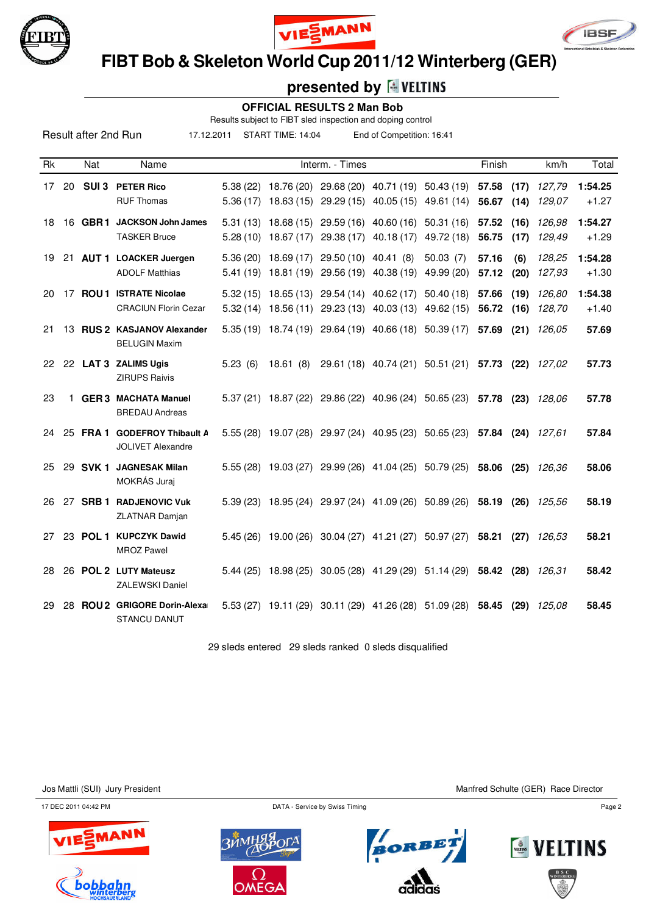





 **FIBT Bob & Skeleton World Cup 2011/12 Winterberg (GER)**

## **presented by**

### **OFFICIAL RESULTS 2 Man Bob**

Results subject to FIBT sled inspection and doping control

17.12.2011 START TIME: 14:04 End of Competition: 16:41

| <b>Rk</b> |    | <b>Nat</b>       | Name                                                        |                      |                       | Interm. - Times                                                                                     |                                  |                                                                         | Finish         |              | km/h             | Total              |
|-----------|----|------------------|-------------------------------------------------------------|----------------------|-----------------------|-----------------------------------------------------------------------------------------------------|----------------------------------|-------------------------------------------------------------------------|----------------|--------------|------------------|--------------------|
| 17        | 20 | SUI <sub>3</sub> | <b>PETER Rico</b><br><b>RUF Thomas</b>                      | 5.38(22)<br>5.36(17) |                       | 18.63 (15) 29.29 (15) 40.05 (15) 49.61 (14)                                                         |                                  | 18.76 (20) 29.68 (20) 40.71 (19) 50.43 (19)                             | 57.58<br>56.67 | (17)<br>(14) | 127,79<br>129,07 | 1:54.25<br>$+1.27$ |
| 18        | 16 |                  | GBR1 JACKSON John James<br><b>TASKER Bruce</b>              |                      | $5.28(10)$ 18.67 (17) | 5.31 (13) 18.68 (15) 29.59 (16) 40.60 (16) 50.31 (16)<br>29.38 (17)                                 | 40.18(17)                        | 49.72 (18)                                                              | 57.52<br>56.75 | (16)<br>(17) | 126,98<br>129,49 | 1:54.27<br>$+1.29$ |
| 19        |    |                  | 21 AUT 1 LOACKER Juergen<br><b>ADOLF Matthias</b>           |                      | $5.36(20)$ 18.69 (17) | 29.50 (10) 40.41 (8)<br>5.41 (19) 18.81 (19) 29.56 (19) 40.38 (19)                                  |                                  | 50.03(7)<br>49.99 (20)                                                  | 57.16<br>57.12 | (6)<br>(20)  | 128.25<br>127,93 | 1:54.28<br>$+1.30$ |
| 20        | 17 |                  | <b>ROU 1 ISTRATE Nicolae</b><br><b>CRACIUN Florin Cezar</b> |                      |                       | 5.32 (15) 18.65 (13) 29.54 (14) 40.62 (17)<br>5.32 (14) 18.56 (11) 29.23 (13) 40.03 (13) 49.62 (15) |                                  | 50.40(18)                                                               | 57.66<br>56.72 | (19)<br>(16) | 126,80<br>128,70 | 1:54.38<br>$+1.40$ |
| 21        |    |                  | 13 RUS 2 KASJANOV Alexander<br><b>BELUGIN Maxim</b>         |                      |                       | 5.35 (19) 18.74 (19) 29.64 (19) 40.66 (18) 50.39 (17)                                               |                                  |                                                                         | 57.69          | (21)         | 126.05           | 57.69              |
| 22        |    |                  | 22 LAT 3 ZALIMS Ugis<br><b>ZIRUPS Raivis</b>                | 5.23(6)              | 18.61(8)              |                                                                                                     | 29.61 (18) 40.74 (21) 50.51 (21) |                                                                         | 57.73 (22)     |              | 127.02           | 57.73              |
| 23        |    |                  | 1 GER 3 MACHATA Manuel<br><b>BREDAU Andreas</b>             |                      |                       |                                                                                                     |                                  | 5.37 (21) 18.87 (22) 29.86 (22) 40.96 (24) 50.65 (23) 57.78 (23)        |                |              | 128.06           | 57.78              |
| 24        |    |                  | 25 FRA 1 GODEFROY Thibault A<br><b>JOLIVET Alexandre</b>    |                      |                       |                                                                                                     |                                  | 5.55 (28) 19.07 (28) 29.97 (24) 40.95 (23) 50.65 (23) 57.84 (24) 127,61 |                |              |                  | 57.84              |
| 25        |    | 29 SVK 1         | <b>JAGNESAK Milan</b><br>MOKRÁS Juraj                       |                      |                       | 5.55 (28) 19.03 (27) 29.99 (26) 41.04 (25) 50.79 (25)                                               |                                  |                                                                         | 58.06          | (25)         | 126,36           | 58.06              |
| 26        |    |                  | 27 SRB 1 RADJENOVIC Vuk<br><b>ZLATNAR Damjan</b>            |                      |                       | 5.39 (23) 18.95 (24) 29.97 (24) 41.09 (26) 50.89 (26)                                               |                                  |                                                                         | 58.19          | (26)         | 125.56           | 58.19              |
| 27        |    |                  | 23 POL 1 KUPCZYK Dawid<br><b>MROZ Pawel</b>                 |                      |                       |                                                                                                     |                                  | 5.45 (26) 19.00 (26) 30.04 (27) 41.21 (27) 50.97 (27)                   | 58.21          |              | $(27)$ $126.53$  | 58.21              |
| 28        |    |                  | 26 POL 2 LUTY Mateusz<br><b>ZALEWSKI Daniel</b>             |                      | $5.44(25)$ 18.98 (25) |                                                                                                     |                                  | 30.05 (28) 41.29 (29) 51.14 (29)                                        | 58.42 (28)     |              | 126.31           | 58.42              |
| 29        | 28 |                  | ROU 2 GRIGORE Dorin-Alexa<br><b>STANCU DANUT</b>            | 5.53(27)             | 19.11 (29)            |                                                                                                     |                                  | 30.11 (29) 41.26 (28) 51.09 (28)                                        | 58.45          | (29)         | 125.08           | 58.45              |

29 sleds entered 29 sleds ranked 0 sleds disqualified

Jos Mattli (SUI) Jury President Manfred Schulte (GER) Race Director

17 DEC 2011 04:42 PM Page 2









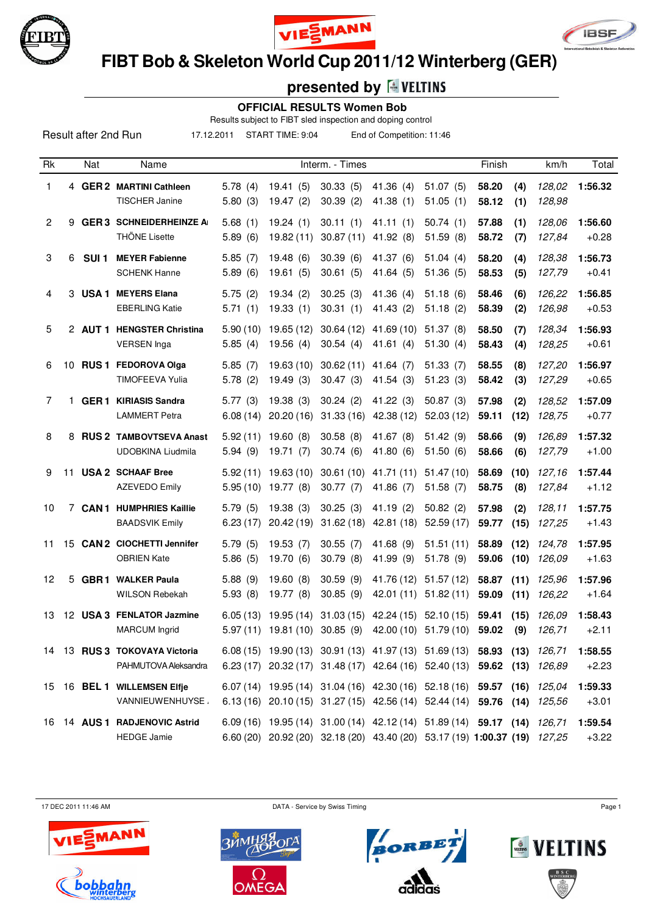





 **FIBT Bob & Skeleton World Cup 2011/12 Winterberg (GER)**

# **presented by**

#### **OFFICIAL RESULTS Women Bob**

Results subject to FIBT sled inspection and doping control

17.12.2011 START TIME: 9:04 End of Competition: 11:46

| Rk             |    | Nat              | Name                                                    |                      |                                     | Interm. - Times                                                                                                                        |                          |                        | Finish         | km/h                             | Total              |
|----------------|----|------------------|---------------------------------------------------------|----------------------|-------------------------------------|----------------------------------------------------------------------------------------------------------------------------------------|--------------------------|------------------------|----------------|----------------------------------|--------------------|
| $\mathbf{1}$   |    |                  | 4 GER 2 MARTINI Cathleen<br><b>TISCHER Janine</b>       | 5.78(4)<br>5.80(3)   | 19.41(5)<br>19.47(2)                | 30.33(5)<br>30.39(2)                                                                                                                   | 41.36 (4)<br>41.38(1)    | 51.07(5)<br>51.05(1)   | 58.20<br>58.12 | 128,02<br>(4)<br>(1)<br>128,98   | 1:56.32            |
| $\overline{2}$ | 9  |                  | <b>GER 3 SCHNEIDERHEINZE AI</b><br><b>THÖNE Lisette</b> | 5.68(1)<br>5.89(6)   | 19.24(1)<br>19.82(11)               | 30.11(1)<br>30.87(11)                                                                                                                  | 41.11(1)<br>41.92 (8)    | 50.74(1)<br>51.59(8)   | 57.88<br>58.72 | 128,06<br>(1)<br>127,84<br>(7)   | 1:56.60<br>$+0.28$ |
| 3              | 6  | SUI <sub>1</sub> | <b>MEYER Fabienne</b><br><b>SCHENK Hanne</b>            | 5.85(7)<br>5.89(6)   | 19.48(6)<br>19.61(5)                | 30.39(6)<br>30.61(5)                                                                                                                   | 41.37 (6)<br>41.64 (5)   | 51.04(4)<br>51.36(5)   | 58.20<br>58.53 | 128,38<br>(4)<br>(5)<br>127,79   | 1:56.73<br>$+0.41$ |
| $\overline{4}$ |    |                  | 3 USA 1 MEYERS Elana<br><b>EBERLING Katie</b>           | 5.75(2)<br>5.71(1)   | 19.34(2)<br>19.33(1)                | 30.25(3)<br>30.31(1)                                                                                                                   | 41.36 (4)<br>41.43(2)    | 51.18(6)<br>51.18(2)   | 58.46<br>58.39 | (6)<br>126,22<br>(2)<br>126,98   | 1:56.85<br>$+0.53$ |
| 5              |    |                  | 2 AUT 1 HENGSTER Christina<br><b>VERSEN</b> Inga        | 5.90(10)<br>5.85(4)  | 19.65 (12)<br>19.56(4)              | 30.64(12)<br>30.54(4)                                                                                                                  | 41.69 (10)<br>41.61(4)   | 51.37(8)<br>51.30(4)   | 58.50<br>58.43 | 128,34<br>(7)<br>(4)<br>128,25   | 1:56.93<br>$+0.61$ |
| 6              | 10 |                  | RUS 1 FEDOROVA Olga<br><b>TIMOFEEVA Yulia</b>           | 5.85(7)<br>5.78(2)   | 19.63 (10)<br>19.49(3)              | 30.62(11)<br>30.47(3)                                                                                                                  | 41.64 $(7)$<br>41.54(3)  | 51.33(7)<br>51.23(3)   | 58.55<br>58.42 | 127,20<br>(8)<br>(3)<br>127,29   | 1:56.97<br>$+0.65$ |
| 7              | 1. |                  | <b>GER 1 KIRIASIS Sandra</b><br><b>LAMMERT Petra</b>    | 5.77(3)<br>6.08(14)  | 19.38(3)<br>20.20(16)               | 30.24(2)<br>31.33(16)                                                                                                                  | 41.22 (3)<br>42.38 (12)  | 50.87(3)<br>52.03(12)  | 57.98<br>59.11 | (2)<br>128,52<br>(12)<br>128,75  | 1:57.09<br>$+0.77$ |
| 8              |    |                  | 8 RUS 2 TAMBOVTSEVA Anast<br>UDOBKINA Liudmila          | 5.92(11)<br>5.94(9)  | 19.60(8)<br>19.71(7)                | 30.58(8)<br>30.74(6)                                                                                                                   | 41.67 (8)<br>41.80(6)    | 51.42(9)<br>51.50(6)   | 58.66<br>58.66 | (9)<br>126,89<br>(6)<br>127,79   | 1:57.32<br>$+1.00$ |
| 9              | 11 |                  | <b>USA 2 SCHAAF Bree</b><br><b>AZEVEDO Emily</b>        | 5.92(11)<br>5.95(10) | 19.63(10)<br>19.77 (8)              | 30.61(10)<br>30.77(7)                                                                                                                  | 41.71 (11)<br>41.86 (7)  | 51.47(10)<br>51.58(7)  | 58.69<br>58.75 | 127,16<br>(10)<br>(8)<br>127,84  | 1:57.44<br>$+1.12$ |
| 10             |    |                  | 7 CAN 1 HUMPHRIES Kaillie<br><b>BAADSVIK Emily</b>      | 5.79(5)<br>6.23(17)  | 19.38(3)<br>20.42(19)               | 30.25(3)<br>31.62(18)                                                                                                                  | 41.19 (2)<br>42.81 (18)  | 50.82(2)<br>52.59(17)  | 57.98<br>59.77 | (2)<br>128,11<br>127,25<br>(15)  | 1:57.75<br>$+1.43$ |
| 11             | 15 |                  | <b>CAN 2 CIOCHETTI Jennifer</b><br><b>OBRIEN Kate</b>   | 5.79(5)<br>5.86(5)   | 19.53(7)<br>19.70 (6)               | 30.55(7)<br>30.79(8)                                                                                                                   | 41.68 (9)<br>41.99 (9)   | 51.51(11)<br>51.78 (9) | 58.89<br>59.06 | 124,78<br>(12)<br>(10)<br>126,09 | 1:57.95<br>$+1.63$ |
| 12             | 5  |                  | <b>GBR1 WALKER Paula</b><br><b>WILSON Rebekah</b>       | 5.88(9)<br>5.93(8)   | 19.60(8)<br>19.77 (8)               | 30.59(9)<br>30.85(9)                                                                                                                   | 41.76 (12)<br>42.01 (11) | 51.57(12)<br>51.82(11) | 58.87<br>59.09 | (11)<br>125,96<br>(11)<br>126,22 | 1:57.96<br>$+1.64$ |
| 13             |    |                  | 12 USA 3 FENLATOR Jazmine<br><b>MARCUM</b> Ingrid       | 6.05(13)             | 19.95 (14)<br>$5.97(11)$ 19.81 (10) | 31.03(15)<br>30.85(9)                                                                                                                  | 42.24 (15) 52.10 (15)    | 42.00 (10) 51.79 (10)  | 59.41<br>59.02 | 126,09<br>(15)<br>(9)<br>126,71  | 1:58.43<br>$+2.11$ |
|                |    |                  | 14 13 RUS 3 TOKOVAYA Victoria<br>PAHMUTOVA Aleksandra   |                      |                                     | 6.08 (15) 19.90 (13) 30.91 (13) 41.97 (13) 51.69 (13) 58.93 (13)<br>6.23 (17) 20.32 (17) 31.48 (17) 42.64 (16) 52.40 (13) 59.62 (13)   |                          |                        |                | 126,71<br>126,89                 | 1:58.55<br>$+2.23$ |
|                |    |                  | 15 16 BEL 1 WILLEMSEN Elfje<br>VANNIEUWENHUYSE.         |                      |                                     | 6.07 (14) 19.95 (14) 31.04 (16) 42.30 (16) 52.18 (16) 59.57 (16)<br>6.13 (16) 20.10 (15) 31.27 (15) 42.56 (14) 52.44 (14)              |                          |                        | 59.76 (14)     | 125,04<br>125,56                 | 1:59.33<br>$+3.01$ |
|                |    |                  | 16 14 AUS 1 RADJENOVIC Astrid<br><b>HEDGE Jamie</b>     |                      |                                     | 6.09 (16) 19.95 (14) 31.00 (14) 42.12 (14) 51.89 (14) 59.17 (14)<br>6.60 (20) 20.92 (20) 32.18 (20) 43.40 (20) 53.17 (19) 1:00.37 (19) |                          |                        |                | 126,71<br>127,25                 | 1:59.54<br>$+3.22$ |

17 DEC 2011 11:46 AM Page 1









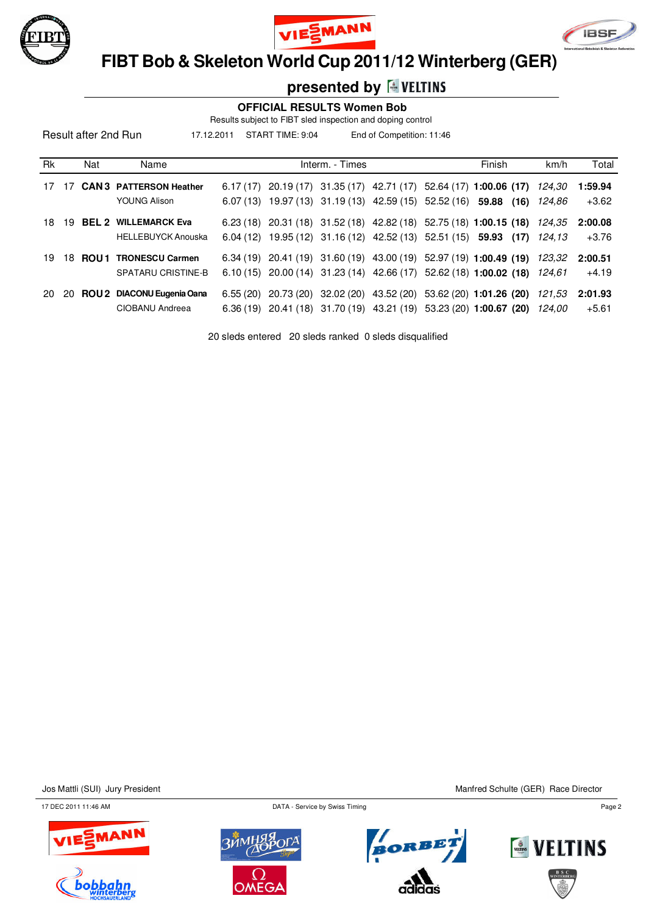





 **FIBT Bob & Skeleton World Cup 2011/12 Winterberg (GER)**

## **presented by**

#### **OFFICIAL RESULTS Women Bob**

Results subject to FIBT sled inspection and doping control

17.12.2011 START TIME: 9:04 End of Competition: 11:46

| Rk  |     | Nat | Name                                                     |          | Interm. - Times |  | Finish                                                                                                                                    | km/h             | Total              |
|-----|-----|-----|----------------------------------------------------------|----------|-----------------|--|-------------------------------------------------------------------------------------------------------------------------------------------|------------------|--------------------|
| 17  | 17  |     | <b>CAN 3 PATTERSON Heather</b>                           | 6.17(17) |                 |  | 20.19 (17) 31.35 (17) 42.71 (17) 52.64 (17) 1:00.06 (17)                                                                                  | 124.30           | 1:59.94            |
|     |     |     | <b>YOUNG Alison</b>                                      | 6.07(13) |                 |  | 19.97 (13) 31.19 (13) 42.59 (15) 52.52 (16) 59.88 (16)                                                                                    | 124.86           | $+3.62$            |
| 18. | 19  |     | <b>BEL 2 WILLEMARCK Eva</b>                              | 6.23(18) |                 |  | 20.31 (18) 31.52 (18) 42.82 (18) 52.75 (18) 1:00.15 (18)                                                                                  | 124.35           | 2:00.08            |
|     |     |     | <b>HELLEBUYCK Anouska</b>                                | 6.04(12) |                 |  | 19.95 (12) 31.16 (12) 42.52 (13) 52.51 (15) 59.93 (17)                                                                                    | 124.13           | $+3.76$            |
| 19  | 18. |     | <b>ROU1 TRONESCU Carmen</b><br><b>SPATARU CRISTINE-B</b> |          |                 |  | $6.34(19)$ 20.41 (19) 31.60 (19) 43.00 (19) 52.97 (19) 1:00.49 (19)<br>6.10 (15) 20.00 (14) 31.23 (14) 42.66 (17) 52.62 (18) 1:00.02 (18) | 123.32<br>124.61 | 2:00.51<br>$+4.19$ |
|     |     |     |                                                          |          |                 |  |                                                                                                                                           |                  |                    |
| 20  | -20 |     | ROU 2 DIACONU Eugenia Oana                               | 6.55(20) |                 |  | 20.73 (20) 32.02 (20) 43.52 (20) 53.62 (20) 1:01.26 (20)                                                                                  | 121.53           | 2:01.93            |
|     |     |     | CIOBANU Andreea                                          | 6.36(19) |                 |  | 20.41 (18) 31.70 (19) 43.21 (19) 53.23 (20) 1:00.67 (20)                                                                                  | 124.00           | $+5.61$            |

20 sleds entered 20 sleds ranked 0 sleds disqualified

Jos Mattli (SUI) Jury President Manfred Schulte (GER) Race Director

17 DEC 2011 11:46 AM Page 2









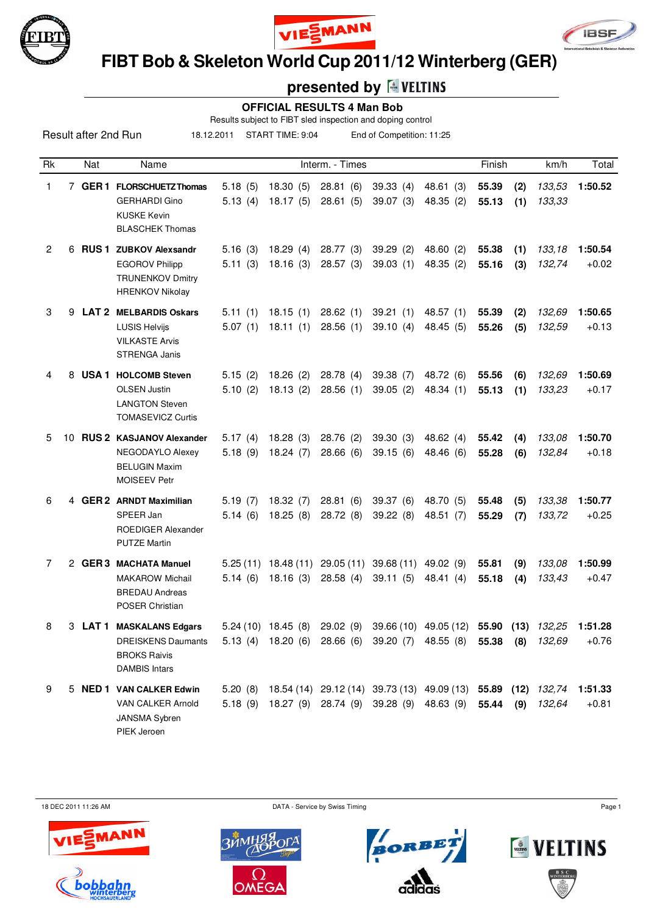





 **FIBT Bob & Skeleton World Cup 2011/12 Winterberg (GER)**

# **presented by**

#### **OFFICIAL RESULTS 4 Man Bob**

Results subject to FIBT sled inspection and doping control

18.12.2011 START TIME: 9:04 End of Competition: 11:25

| Rk           |    | Nat     | Name                                                                                                    |                    |                      | Interm. - Times                                        |                                                  |                                                        | Finish         |            | km/h             | Total              |
|--------------|----|---------|---------------------------------------------------------------------------------------------------------|--------------------|----------------------|--------------------------------------------------------|--------------------------------------------------|--------------------------------------------------------|----------------|------------|------------------|--------------------|
| 1.           |    |         | 7 GER 1 FLORSCHUETZ Thomas<br><b>GERHARDI Gino</b>                                                      | 5.18(5)<br>5.13(4) | 18.30(5)<br>18.17(5) | 28.81(6)<br>28.61(5)                                   | 39.33(4)<br>39.07(3)                             | 48.61 (3)<br>48.35 (2)                                 | 55.39<br>55.13 | (2)<br>(1) | 133,53<br>133,33 | 1:50.52            |
|              |    |         | <b>KUSKE Kevin</b><br><b>BLASCHEK Thomas</b>                                                            |                    |                      |                                                        |                                                  |                                                        |                |            |                  |                    |
| $\mathbf{2}$ | 6. |         | RUS 1 ZUBKOV Alexsandr<br><b>EGOROV Philipp</b><br><b>TRUNENKOV Dmitry</b><br><b>HRENKOV Nikolay</b>    | 5.16(3)<br>5.11(3) | 18.29(4)<br>18.16(3) | 28.77(3)<br>28.57(3)                                   | 39.29(2)<br>39.03(1)                             | 48.60 (2)<br>48.35 (2)                                 | 55.38<br>55.16 | (1)<br>(3) | 133,18<br>132,74 | 1:50.54<br>$+0.02$ |
| 3            |    |         | 9 LAT 2 MELBARDIS Oskars<br><b>LUSIS Helvijs</b><br><b>VILKASTE Arvis</b><br>STRENGA Janis              | 5.11(1)<br>5.07(1) | 18.15(1)<br>18.11(1) | 28.62(1)<br>28.56(1)                                   | 39.21(1)<br>39.10(4)                             | 48.57 (1)<br>48.45 (5)                                 | 55.39<br>55.26 | (2)<br>(5) | 132,69<br>132,59 | 1:50.65<br>$+0.13$ |
| 4            | 8  |         | <b>USA 1 HOLCOMB Steven</b><br><b>OLSEN Justin</b><br><b>LANGTON Steven</b><br><b>TOMASEVICZ Curtis</b> | 5.15(2)<br>5.10(2) | 18.26(2)<br>18.13(2) | 28.78 (4)<br>28.56(1)                                  | 39.38 (7)<br>39.05(2)                            | 48.72 (6)<br>48.34 (1)                                 | 55.56<br>55.13 | (6)<br>(1) | 132,69<br>133,23 | 1:50.69<br>$+0.17$ |
| 5            | 10 |         | <b>RUS 2 KASJANOV Alexander</b><br>NEGODAYLO Alexey<br><b>BELUGIN Maxim</b><br>MOISEEV Petr             | 5.17(4)<br>5.18(9) | 18.28(3)<br>18.24(7) | 28.76 (2)<br>28.66(6)                                  | 39.30(3)<br>39.15(6)                             | 48.62 (4)<br>48.46 (6)                                 | 55.42<br>55.28 | (4)<br>(6) | 133,08<br>132,84 | 1:50.70<br>$+0.18$ |
| 6            |    |         | 4 GER 2 ARNDT Maximilian<br>SPEER Jan<br>ROEDIGER Alexander<br><b>PUTZE Martin</b>                      | 5.19(7)<br>5.14(6) | 18.32(7)<br>18.25(8) | 28.81(6)<br>28.72 (8)                                  | 39.37 (6)<br>39.22(8)                            | 48.70 (5)<br>48.51 (7)                                 | 55.48<br>55.29 | (5)<br>(7) | 133,38<br>133,72 | 1:50.77<br>$+0.25$ |
| 7            |    |         | 2 GER 3 MACHATA Manuel<br><b>MAKAROW Michail</b><br><b>BREDAU Andreas</b><br>POSER Christian            | 5.14(6)            | 18.16(3)             | 5.25 (11) 18.48 (11) 29.05 (11) 39.68 (11)<br>28.58(4) | 39.11(5)                                         | 49.02 (9)<br>48.41 (4)                                 | 55.81<br>55.18 | (9)<br>(4) | 133,08<br>133,43 | 1:50.99<br>$+0.47$ |
| 8            |    | 3 LAT 1 | <b>MASKALANS Edgars</b><br><b>DREISKENS Daumants</b><br><b>BROKS Raivis</b><br><b>DAMBIS Intars</b>     |                    | $5.24(10)$ 18.45 (8) | 29.02 (9)                                              | 5.13 (4) 18.20 (6) 28.66 (6) 39.20 (7) 48.55 (8) | 39.66 (10) 49.05 (12) 55.90 (13)                       | 55.38          | (8)        | 132,25<br>132,69 | 1:51.28<br>$+0.76$ |
| 9            |    |         | 5 NED 1 VAN CALKER Edwin<br>VAN CALKER Arnold<br>JANSMA Sybren<br>PIEK Jeroen                           | 5.20(8)<br>5.18(9) |                      |                                                        | 18.27 (9) 28.74 (9) 39.28 (9) 48.63 (9)          | 18.54 (14) 29.12 (14) 39.73 (13) 49.09 (13) 55.89 (12) | 55.44 (9)      |            | 132,74<br>132,64 | 1:51.33<br>$+0.81$ |

18 DEC 2011 11:26 AM Page 1









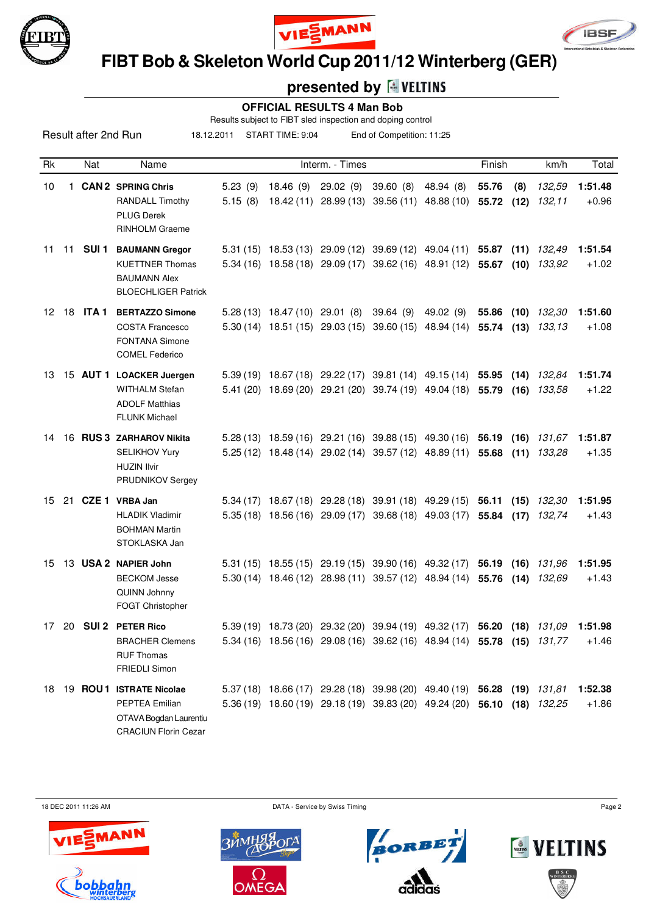





 **FIBT Bob & Skeleton World Cup 2011/12 Winterberg (GER)**

# **presented by**

#### **OFFICIAL RESULTS 4 Man Bob**

Results subject to FIBT sled inspection and doping control

18.12.2011 START TIME: 9:04 End of Competition: 11:25

| Rk |    | Nat             | Name                                                                                                  |                    |           | Interm. - Times                                                                                                                                    |          |                         | Finish         |              | km/h             | Total              |
|----|----|-----------------|-------------------------------------------------------------------------------------------------------|--------------------|-----------|----------------------------------------------------------------------------------------------------------------------------------------------------|----------|-------------------------|----------------|--------------|------------------|--------------------|
| 10 |    |                 | 1 CAN 2 SPRING Chris<br><b>RANDALL Timothy</b><br><b>PLUG Derek</b><br>RINHOLM Graeme                 | 5.23(9)<br>5.15(8) | 18.46 (9) | 29.02(9)<br>18.42 (11) 28.99 (13) 39.56 (11) 48.88 (10)                                                                                            | 39.60(8) | 48.94 (8)               | 55.76<br>55.72 | (8)<br>(12)  | 132,59<br>132.11 | 1:51.48<br>$+0.96$ |
| 11 |    | 11 <b>SUI 1</b> | <b>BAUMANN Gregor</b><br><b>KUETTNER Thomas</b><br><b>BAUMANN Alex</b><br><b>BLOECHLIGER Patrick</b>  |                    |           | 5.31 (15) 18.53 (13) 29.09 (12) 39.69 (12) 49.04 (11)<br>5.34 (16) 18.58 (18) 29.09 (17) 39.62 (16) 48.91 (12)                                     |          |                         | 55.87<br>55.67 | (11)<br>(10) | 132,49<br>133,92 | 1:51.54<br>$+1.02$ |
| 12 | 18 | ITA 1           | <b>BERTAZZO Simone</b><br><b>COSTA Francesco</b><br><b>FONTANA Simone</b><br><b>COMEL Federico</b>    |                    |           | 5.28 (13) 18.47 (10) 29.01 (8) 39.64 (9)<br>5.30 (14) 18.51 (15) 29.03 (15) 39.60 (15)                                                             |          | 49.02 (9)<br>48.94 (14) | 55.86<br>55.74 | (10)<br>(13) | 132,30<br>133,13 | 1:51.60<br>$+1.08$ |
| 13 |    |                 | 15 AUT 1 LOACKER Juergen<br><b>WITHALM Stefan</b><br><b>ADOLF Matthias</b><br><b>FLUNK Michael</b>    |                    |           | 5.39 (19) 18.67 (18) 29.22 (17) 39.81 (14) 49.15 (14) 55.95<br>5.41 (20) 18.69 (20) 29.21 (20) 39.74 (19) 49.04 (18) 55.79                         |          |                         |                | (14)<br>(16) | 132,84<br>133.58 | 1:51.74<br>$+1.22$ |
| 14 |    |                 | 16 RUS 3 ZARHAROV Nikita<br><b>SELIKHOV Yury</b><br><b>HUZIN Ilvir</b><br>PRUDNIKOV Sergey            |                    |           | 5.28 (13) 18.59 (16) 29.21 (16) 39.88 (15) 49.30 (16)<br>5.25 (12) 18.48 (14) 29.02 (14) 39.57 (12) 48.89 (11)                                     |          |                         | 56.19<br>55.68 | (16)<br>(11) | 131.67<br>133.28 | 1:51.87<br>$+1.35$ |
| 15 |    |                 | 21 CZE 1 VRBA Jan<br><b>HLADIK Vladimir</b><br><b>BOHMAN Martin</b><br>STOKLASKA Jan                  |                    |           | 5.34 (17) 18.67 (18) 29.28 (18) 39.91 (18) 49.29 (15) 56.11<br>5.35 (18) 18.56 (16) 29.09 (17) 39.68 (18) 49.03 (17)                               |          |                         | 55.84          | (15)<br>(17) | 132,30<br>132,74 | 1:51.95<br>$+1.43$ |
| 15 |    |                 | 13 USA 2 NAPIER John<br><b>BECKOM Jesse</b><br>QUINN Johnny<br>FOGT Christopher                       |                    |           | 5.31 (15) 18.55 (15) 29.19 (15) 39.90 (16) 49.32 (17)<br>5.30 (14) 18.46 (12) 28.98 (11) 39.57 (12) 48.94 (14)                                     |          |                         | 56.19<br>55.76 | (16)<br>(14) | 131,96<br>132.69 | 1:51.95<br>$+1.43$ |
| 17 | 20 |                 | <b>SUI 2 PETER Rico</b><br><b>BRACHER Clemens</b><br><b>RUF Thomas</b><br>FRIEDLI Simon               |                    |           | 5.39 (19) 18.73 (20) 29.32 (20) 39.94 (19) 49.32 (17) 56.20 (18) 131,09<br>5.34 (16) 18.56 (16) 29.08 (16) 39.62 (16) 48.94 (14) 55.78 (15) 131,77 |          |                         |                |              |                  | 1:51.98<br>+1.46   |
|    |    |                 | 18 19 ROU1 ISTRATE Nicolae<br>PEPTEA Emilian<br>OTAVA Bogdan Laurentiu<br><b>CRACIUN Florin Cezar</b> |                    |           | 5.37 (18) 18.66 (17) 29.28 (18) 39.98 (20) 49.40 (19) 56.28 (19) 131,81<br>5.36 (19) 18.60 (19) 29.18 (19) 39.83 (20) 49.24 (20) 56.10 (18) 132,25 |          |                         |                |              |                  | 1:52.38<br>$+1.86$ |

18 DEC 2011 11:26 AM Page 2









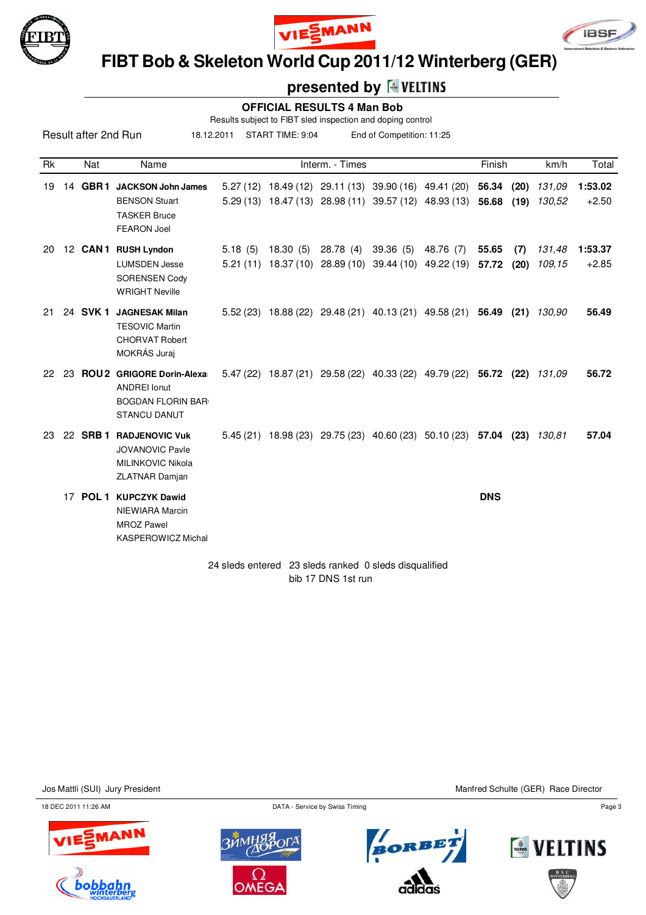





 **FIBT Bob & Skeleton World Cup 2011/12 Winterberg (GER)**

### **presented by <b>E** VELTINS

### **OFFICIAL RESULTS 4 Man Bob**

Results subject to FIBT sled inspection and doping control

Result after 2nd Run Rk Nat Name **Interm.** - Times **Finish km/h Total** 18.12.2011 START TIME: 9:04 End of Competition: 11:25 19 14 **GBR 1 JACKSON John James** 5.27 (12) 18.49 (12) 29.11 (13) 39.90 (16) 49.41 (20) **56.34 (20)** 131,09 **1:53.02** BENSON Stuart 5.29 (13) 18.47 (13) 28.98 (11) 39.57 (12) 48.93 (13) **56.68 (19)** 130,52 +2.50 TASKER Bruce FEARON Joel 20 12 **CAN 1 RUSH Lyndon** 5.18 (5) 18.30 (5) 28.78 (4) 39.36 (5) 48.76 (7) **55.65 (7)** 131,48 **1:53.37**

|     |    |          | <b>LUMSDEN Jesse</b><br><b>SORENSEN Cody</b><br><b>WRIGHT Neville</b>                                     |           | 5.21 (11) 18.37 (10) 28.89 (10) 39.44 (10) 49.22 (19) 57.72 (20) |  |            |      | 109.15 | $+2.85$ |
|-----|----|----------|-----------------------------------------------------------------------------------------------------------|-----------|------------------------------------------------------------------|--|------------|------|--------|---------|
| 21. |    | 24 SVK 1 | <b>JAGNESAK Milan</b><br><b>TESOVIC Martin</b><br><b>CHORVAT Robert</b><br>MOKRÁS Juraj                   | 5.52(23)  | 18.88 (22) 29.48 (21) 40.13 (21) 49.58 (21)                      |  | 56.49      | (21) | 130.90 | 56.49   |
| 22  | 23 |          | <b>ROU2</b> GRIGORE Dorin-Alexa<br><b>ANDREI Ionut</b><br><b>BOGDAN FLORIN BAR</b><br><b>STANCU DANUT</b> |           | 5.47 (22) 18.87 (21) 29.58 (22) 40.33 (22) 49.79 (22)            |  | 56.72 (22) |      | 131,09 | 56.72   |
| -23 |    | 22 SRB 1 | <b>RADJENOVIC Vuk</b><br><b>JOVANOVIC Pavle</b><br>MILINKOVIC Nikola<br><b>ZLATNAR Damjan</b>             | 5.45 (21) | 18.98 (23) 29.75 (23) 40.60 (23) 50.10 (23)                      |  | 57.04      | (23) | 130.81 | 57.04   |
|     | 17 |          | <b>POL 1 KUPCZYK Dawid</b>                                                                                |           |                                                                  |  | <b>DNS</b> |      |        |         |

NIEWIARA Marcin MROZ Pawel KASPEROWICZ Michal

> 24 sleds entered 23 sleds ranked 0 sleds disqualified bib 17 DNS 1st run

Jos Mattli (SUI) Jury President Manfred Schulte (GER) Race Director

18 DEC 2011 11:26 AM Page 3







BORBI

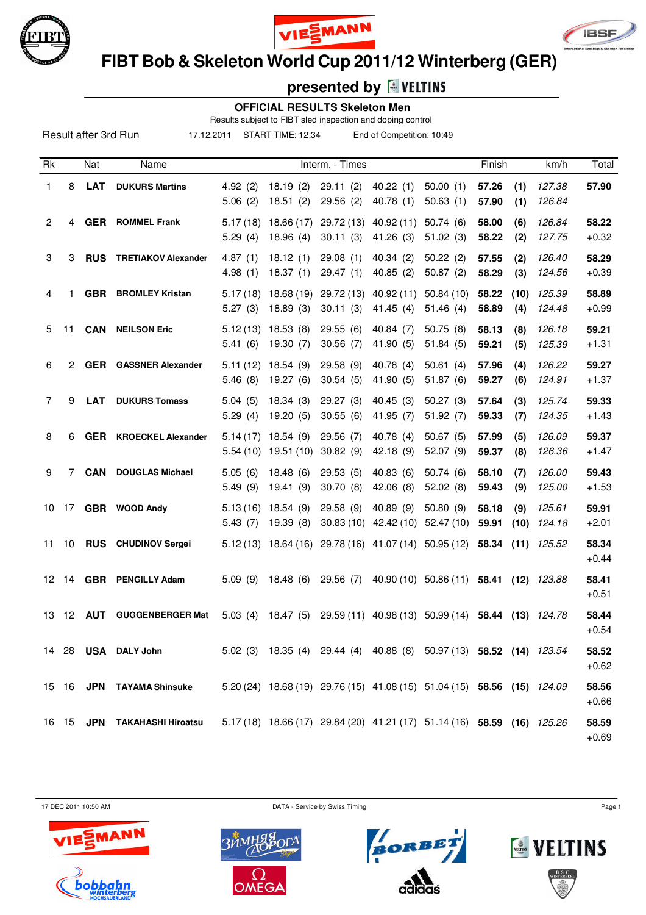

Result after 3rd Run





 **FIBT Bob & Skeleton World Cup 2011/12 Winterberg (GER)**

# **presented by**

#### **OFFICIAL RESULTS Skeleton Men**

Results subject to FIBT sled inspection and doping control

17.12.2011 START TIME: 12:34 End of Competition: 10:49

| Rk             |    | Nat        | Name                          |                     |                                    | Interm. - Times                                                         |                                  |                                  | Finish         |             | km/h             | Total            |
|----------------|----|------------|-------------------------------|---------------------|------------------------------------|-------------------------------------------------------------------------|----------------------------------|----------------------------------|----------------|-------------|------------------|------------------|
| 1              | 8  | <b>LAT</b> | <b>DUKURS Martins</b>         | 4.92(2)<br>5.06(2)  | 18.19(2)<br>18.51(2)               | 29.11(2)<br>29.56(2)                                                    | 40.22(1)<br>40.78(1)             | 50.00(1)<br>50.63(1)             | 57.26<br>57.90 | (1)<br>(1)  | 127.38<br>126.84 | 57.90            |
| $\overline{2}$ | 4  | <b>GER</b> | <b>ROMMEL Frank</b>           | 5.17(18)<br>5.29(4) | 18.66 (17)<br>18.96(4)             | 29.72 (13)<br>30.11(3)                                                  | 40.92(11)<br>41.26(3)            | 50.74(6)<br>51.02(3)             | 58.00<br>58.22 | (6)<br>(2)  | 126.84<br>127.75 | 58.22<br>$+0.32$ |
| 3              | 3  | <b>RUS</b> | <b>TRETIAKOV Alexander</b>    | 4.87(1)<br>4.98(1)  | 18.12(1)<br>18.37(1)               | 29.08(1)<br>29.47(1)                                                    | 40.34(2)<br>40.85(2)             | 50.22(2)<br>50.87(2)             | 57.55<br>58.29 | (2)<br>(3)  | 126.40<br>124.56 | 58.29<br>$+0.39$ |
| 4              | 1  |            | <b>GBR</b> BROMLEY Kristan    | 5.17(18)<br>5.27(3) | 18.68 (19)<br>18.89(3)             | 29.72 (13)<br>30.11(3)                                                  | 40.92 (11)<br>41.45(4)           | 50.84(10)<br>51.46(4)            | 58.22<br>58.89 | (10)<br>(4) | 125.39<br>124.48 | 58.89<br>$+0.99$ |
| 5              | 11 |            | <b>CAN NEILSON Eric</b>       | 5.12(13)<br>5.41(6) | 18.53(8)<br>19.30(7)               | 29.55(6)<br>30.56(7)                                                    | 40.84 $(7)$<br>41.90 (5)         | 50.75(8)<br>51.84(5)             | 58.13<br>59.21 | (8)<br>(5)  | 126.18<br>125.39 | 59.21<br>$+1.31$ |
| 6              | 2  | <b>GER</b> | <b>GASSNER Alexander</b>      | 5.11(12)<br>5.46(8) | 18.54(9)<br>19.27(6)               | 29.58(9)<br>30.54(5)                                                    | 40.78 (4)<br>41.90 (5)           | 50.61(4)<br>51.87(6)             | 57.96<br>59.27 | (4)<br>(6)  | 126.22<br>124.91 | 59.27<br>$+1.37$ |
| $\overline{7}$ | 9  | <b>LAT</b> | <b>DUKURS Tomass</b>          | 5.04(5)<br>5.29(4)  | 18.34(3)<br>19.20(5)               | 29.27(3)<br>30.55(6)                                                    | 40.45(3)<br>41.95 (7)            | 50.27(3)<br>51.92(7)             | 57.64<br>59.33 | (3)<br>(7)  | 125.74<br>124.35 | 59.33<br>$+1.43$ |
| 8              | 6  |            | <b>GER</b> KROECKEL Alexander | 5.14(17)            | 18.54 (9)<br>$5.54(10)$ 19.51 (10) | 29.56 (7)<br>30.82(9)                                                   | 40.78 (4)<br>42.18 (9)           | 50.67(5)<br>52.07(9)             | 57.99<br>59.37 | (5)<br>(8)  | 126.09<br>126.36 | 59.37<br>$+1.47$ |
| 9              | 7  | <b>CAN</b> | <b>DOUGLAS Michael</b>        | 5.05(6)<br>5.49(9)  | 18.48(6)<br>19.41(9)               | 29.53(5)<br>30.70(8)                                                    | 40.83(6)<br>42.06 (8)            | 50.74(6)<br>52.02(8)             | 58.10<br>59.43 | (7)<br>(9)  | 126.00<br>125.00 | 59.43<br>$+1.53$ |
| 10             | 17 |            | GBR WOOD Andy                 | 5.13(16)<br>5.43(7) | 18.54(9)<br>19.39(8)               | 29.58(9)<br>30.83(10)                                                   | 40.89 (9)<br>42.42 (10)          | 50.80(9)<br>52.47(10)            | 58.18<br>59.91 | (9)<br>(10) | 125.61<br>124.18 | 59.91<br>$+2.01$ |
| 11             | 10 | <b>RUS</b> | <b>CHUDINOV Sergei</b>        |                     | $5.12(13)$ 18.64 (16)              |                                                                         | 29.78 (16) 41.07 (14) 50.95 (12) |                                  | 58.34          | (11)        | 125.52           | 58.34<br>$+0.44$ |
| 12             | 14 |            | <b>GBR</b> PENGILLY Adam      | 5.09(9)             | 18.48(6)                           | 29.56(7)                                                                |                                  | 40.90 (10) 50.86 (11) 58.41 (12) |                |             | 123.88           | 58.41<br>$+0.51$ |
| 13             | 12 | <b>AUT</b> | <b>GUGGENBERGER Mat</b>       | 5.03(4)             | 18.47(5)                           |                                                                         | 29.59 (11) 40.98 (13) 50.99 (14) |                                  | 58.44 (13)     |             | 124.78           | 58.44<br>$+0.54$ |
|                |    |            | 14 28 USA DALY John           |                     |                                    | 5.02 (3) 18.35 (4) 29.44 (4) 40.88 (8) 50.97 (13) 58.52 (14) 123.54     |                                  |                                  |                |             |                  | 58.52<br>$+0.62$ |
|                |    |            | 15 16 JPN TAYAMA Shinsuke     |                     |                                    | 5.20 (24) 18.68 (19) 29.76 (15) 41.08 (15) 51.04 (15) 58.56 (15) 124.09 |                                  |                                  |                |             |                  | 58.56<br>$+0.66$ |
|                |    |            | 16 15 JPN TAKAHASHI Hiroatsu  |                     |                                    | 5.17 (18) 18.66 (17) 29.84 (20) 41.21 (17) 51.14 (16) 58.59 (16) 125.26 |                                  |                                  |                |             |                  | 58.59<br>$+0.69$ |

17 DEC 2011 10:50 AM Page 1









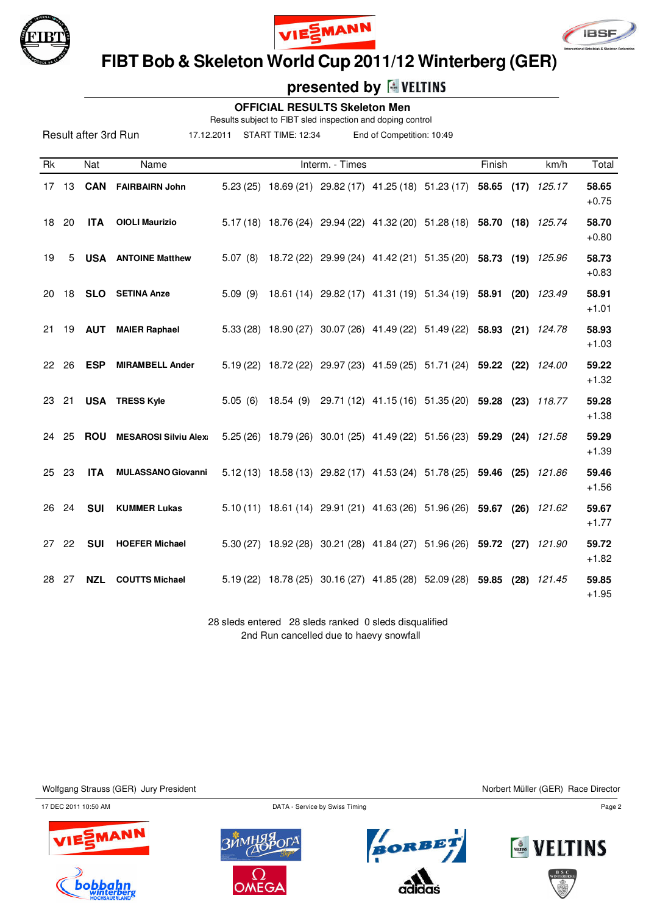

Result after 3rd Run





 **FIBT Bob & Skeleton World Cup 2011/12 Winterberg (GER)**

## **presented by**

#### **OFFICIAL RESULTS Skeleton Men**

Results subject to FIBT sled inspection and doping control

17.12.2011 START TIME: 12:34 End of Competition: 10:49

| Rk    |       | Nat           | Name                         |         |                                                         | Interm. - Times |                                                                         | Finish | km/h   | Total            |
|-------|-------|---------------|------------------------------|---------|---------------------------------------------------------|-----------------|-------------------------------------------------------------------------|--------|--------|------------------|
|       | 17 13 | <b>CAN</b>    | <b>FAIRBAIRN John</b>        |         |                                                         |                 | 5.23 (25) 18.69 (21) 29.82 (17) 41.25 (18) 51.23 (17) 58.65 (17)        |        | 125.17 | 58.65<br>$+0.75$ |
|       | 18 20 | <b>ITA</b>    | <b>OIOLI Maurizio</b>        |         |                                                         |                 | 5.17 (18) 18.76 (24) 29.94 (22) 41.32 (20) 51.28 (18) 58.70 (18) 125.74 |        |        | 58.70<br>$+0.80$ |
| 19    | 5     |               | <b>USA</b> ANTOINE Matthew   | 5.07(8) |                                                         |                 | 18.72 (22) 29.99 (24) 41.42 (21) 51.35 (20) 58.73 (19) 125.96           |        |        | 58.73<br>$+0.83$ |
| 20    | 18    |               | <b>SLO</b> SETINA Anze       | 5.09(9) |                                                         |                 | 18.61 (14) 29.82 (17) 41.31 (19) 51.34 (19) 58.91 (20) 123.49           |        |        | 58.91<br>$+1.01$ |
| 21    |       | 19 <b>AUT</b> | <b>MAIER Raphael</b>         |         |                                                         |                 | 5.33 (28) 18.90 (27) 30.07 (26) 41.49 (22) 51.49 (22) 58.93 (21) 124.78 |        |        | 58.93<br>$+1.03$ |
| 22 26 |       | <b>ESP</b>    | <b>MIRAMBELL Ander</b>       |         |                                                         |                 | 5.19 (22) 18.72 (22) 29.97 (23) 41.59 (25) 51.71 (24) 59.22 (22)        |        | 124.00 | 59.22<br>$+1.32$ |
| 23 21 |       |               | <b>USA TRESS Kyle</b>        |         |                                                         |                 | 5.05 (6) 18.54 (9) 29.71 (12) 41.15 (16) 51.35 (20) 59.28 (23) 118.77   |        |        | 59.28<br>$+1.38$ |
| 24    | 25    | <b>ROU</b>    | <b>MESAROSI Silviu Alexa</b> |         |                                                         |                 | 5.25 (26) 18.79 (26) 30.01 (25) 41.49 (22) 51.56 (23) 59.29 (24) 121.58 |        |        | 59.29<br>$+1.39$ |
| 25 23 |       | <b>ITA</b>    | <b>MULASSANO Giovanni</b>    |         |                                                         |                 | 5.12 (13) 18.58 (13) 29.82 (17) 41.53 (24) 51.78 (25) 59.46 (25)        |        | 121.86 | 59.46<br>$+1.56$ |
|       | 26 24 | <b>SUI</b>    | <b>KUMMER Lukas</b>          |         |                                                         |                 | 5.10 (11) 18.61 (14) 29.91 (21) 41.63 (26) 51.96 (26) 59.67 (26) 121.62 |        |        | 59.67<br>$+1.77$ |
| 27 22 |       | <b>SUI</b>    | <b>HOEFER Michael</b>        |         |                                                         |                 | 5.30 (27) 18.92 (28) 30.21 (28) 41.84 (27) 51.96 (26) 59.72 (27)        |        | 121.90 | 59.72<br>$+1.82$ |
| 28 27 |       | <b>NZL</b>    | <b>COUTTS Michael</b>        |         |                                                         |                 | 5.19 (22) 18.78 (25) 30.16 (27) 41.85 (28) 52.09 (28) 59.85 (28) 121.45 |        |        | 59.85<br>$+1.95$ |
|       |       |               |                              |         | no alode entered. On alode replied 0 alode discussified |                 |                                                                         |        |        |                  |

28 sleds entered 28 sleds ranked 0 sleds disqualified 2nd Run cancelled due to haevy snowfall

Wolfgang Strauss (GER) Jury President Northert Müller (GER) Race Director

17 DEC 2011 10:50 AM Page 2









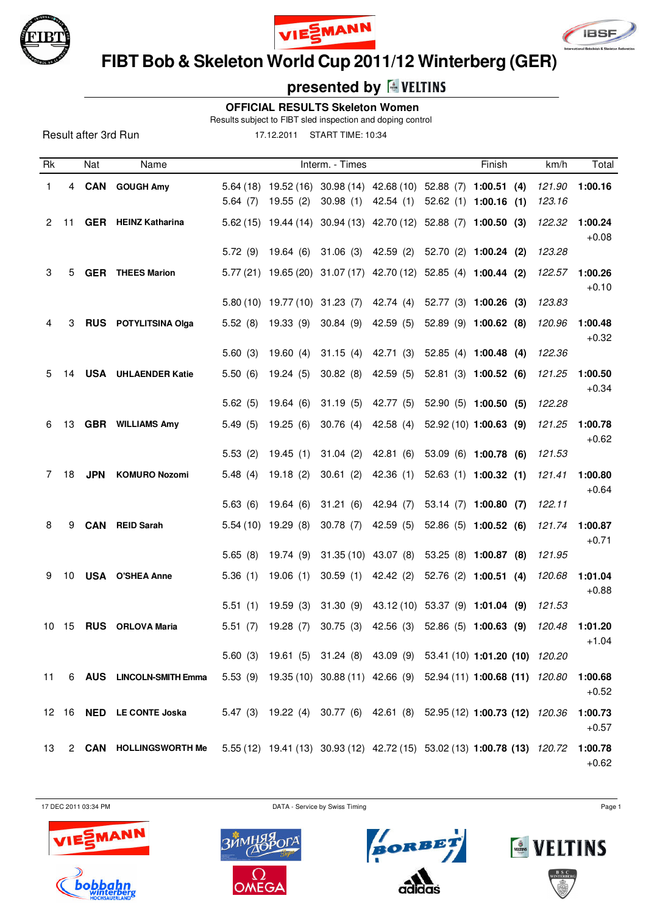





 **FIBT Bob & Skeleton World Cup 2011/12 Winterberg (GER)**

# **presented by**

 **OFFICIAL RESULTS Skeleton Women**

Results subject to FIBT sled inspection and doping control

Result after 3rd Run

17.12.2011 START TIME: 10:34

| Rk          |    | Nat        | Name                            |         |                      | Interm. - Times                                                           |           | Finish                           | km/h   | Total              |
|-------------|----|------------|---------------------------------|---------|----------------------|---------------------------------------------------------------------------|-----------|----------------------------------|--------|--------------------|
| 1           | 4  | <b>CAN</b> | <b>GOUGH Amy</b>                |         |                      | 5.64 (18) 19.52 (16) 30.98 (14) 42.68 (10) 52.88 (7) 1:00.51 (4)          |           |                                  | 121.90 | 1:00.16            |
|             |    |            |                                 | 5.64(7) | 19.55 (2)            | 30.98(1)                                                                  |           | 42.54 (1) 52.62 (1) 1:00.16 (1)  | 123.16 |                    |
| 2           | 11 |            | <b>GER</b> HEINZ Katharina      |         |                      | 5.62 (15) 19.44 (14) 30.94 (13) 42.70 (12) 52.88 (7) 1:00.50 (3)          |           |                                  | 122.32 | 1:00.24<br>$+0.08$ |
|             |    |            |                                 | 5.72(9) |                      | 19.64 (6) 31.06 (3) 42.59 (2) 52.70 (2) 1:00.24 (2)                       |           |                                  | 123.28 |                    |
| 3           | 5  |            | <b>GER</b> THEES Marion         |         |                      | 5.77 (21) 19.65 (20) 31.07 (17) 42.70 (12) 52.85 (4) 1:00.44 (2)          |           |                                  | 122.57 | 1:00.26<br>$+0.10$ |
|             |    |            |                                 |         |                      | 5.80 (10) 19.77 (10) 31.23 (7)                                            |           | 42.74 (4) 52.77 (3) 1:00.26 (3)  | 123.83 |                    |
| 4           | 3  |            | RUS POTYLITSINA Olga            | 5.52(8) | 19.33 (9)            | 30.84(9)                                                                  | 42.59 (5) | 52.89 (9) 1:00.62 (8)            | 120.96 | 1:00.48<br>$+0.32$ |
|             |    |            |                                 | 5.60(3) | 19.60 (4)            | 31.15 (4)                                                                 | 42.71 (3) | $52.85(4)$ 1:00.48 (4)           | 122.36 |                    |
| 5           | 14 |            | <b>USA</b> UHLAENDER Katie      | 5.50(6) | 19.24 (5)            | 30.82(8)                                                                  | 42.59 (5) | 52.81 (3) 1:00.52 (6)            | 121.25 | 1:00.50<br>$+0.34$ |
|             |    |            |                                 | 5.62(5) | 19.64 (6)            | 31.19(5)                                                                  | 42.77 (5) | 52.90 (5) 1:00.50 (5)            | 122.28 |                    |
| 6           | 13 |            | <b>GBR</b> WILLIAMS Amy         | 5.49(5) | 19.25(6)             | 30.76(4)                                                                  | 42.58(4)  | 52.92 (10) 1:00.63 (9)           | 121.25 | 1:00.78<br>$+0.62$ |
|             |    |            |                                 | 5.53(2) | 19.45(1)             | 31.04(2)                                                                  | 42.81 (6) | 53.09 (6) 1:00.78 (6)            | 121.53 |                    |
| $7^{\circ}$ | 18 | <b>JPN</b> | <b>KOMURO Nozomi</b>            | 5.48(4) | 19.18(2)             | 30.61(2)                                                                  | 42.36 (1) | $52.63(1)$ 1:00.32 (1)           | 121.41 | 1:00.80<br>$+0.64$ |
|             |    |            |                                 | 5.63(6) | 19.64 (6)            | 31.21(6)                                                                  | 42.94 (7) | 53.14 (7) 1:00.80 (7)            | 122.11 |                    |
| 8           | 9  | <b>CAN</b> | <b>REID Sarah</b>               |         | $5.54(10)$ 19.29 (8) | 30.78(7)                                                                  | 42.59 (5) | $52.86(5)$ 1:00.52 (6)           | 121.74 | 1:00.87<br>$+0.71$ |
|             |    |            |                                 | 5.65(8) | 19.74(9)             | 31.35 (10) 43.07 (8)                                                      |           | 53.25 (8) 1:00.87 (8)            | 121.95 |                    |
| 9           | 10 |            | <b>USA O'SHEA Anne</b>          | 5.36(1) | 19.06(1)             | 30.59(1)                                                                  | 42.42 (2) | $52.76$ (2) 1:00.51 (4)          | 120.68 | 1:01.04<br>$+0.88$ |
|             |    |            |                                 | 5.51(1) | 19.59(3)             | 31.30(9)                                                                  |           | 43.12 (10) 53.37 (9) 1:01.04 (9) | 121.53 |                    |
| 10          | 15 |            | <b>RUS</b> ORLOVA Maria         | 5.51(7) | 19.28 (7)            | 30.75(3)                                                                  | 42.56 (3) | 52.86 (5) 1:00.63 (9)            | 120.48 | 1:01.20<br>$+1.04$ |
|             |    |            |                                 | 5.60(3) |                      | 19.61 (5) 31.24 (8) 43.09 (9) 53.41 (10) 1:01.20 (10) 120.20              |           |                                  |        |                    |
| 11          |    |            | 6 AUS LINCOLN-SMITH Emma        |         |                      | 5.53 (9) 19.35 (10) 30.88 (11) 42.66 (9) 52.94 (11) 1:00.68 (11) 120.80   |           |                                  |        | 1:00.68<br>$+0.52$ |
|             |    |            | 12 16 <b>NED</b> LE CONTE Joska |         |                      | 5.47 (3) 19.22 (4) 30.77 (6) 42.61 (8) 52.95 (12) 1:00.73 (12) 120.36     |           |                                  |        | 1:00.73<br>$+0.57$ |
| 13          |    |            | 2 CAN HOLLINGSWORTH Me          |         |                      | 5.55 (12) 19.41 (13) 30.93 (12) 42.72 (15) 53.02 (13) 1:00.78 (13) 120.72 |           |                                  |        | 1:00.78<br>$+0.62$ |

17 DEC 2011 03:34 PM Page 1